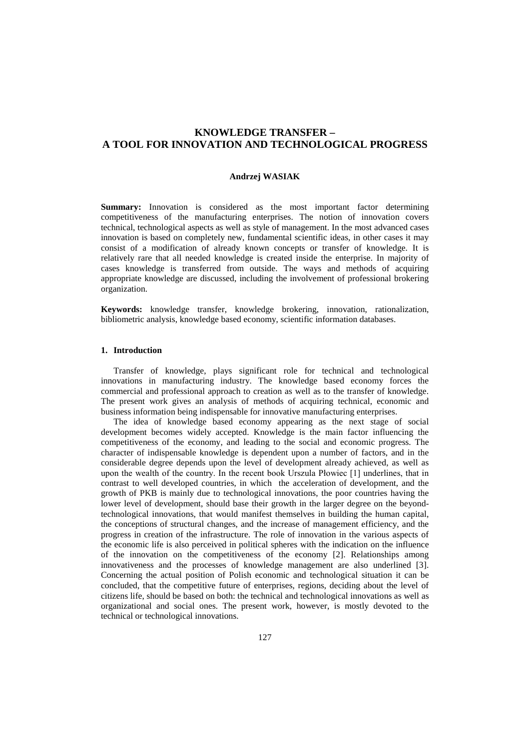# **KNOWLEDGE TRANSFER – A TOOL FOR INNOVATION AND TECHNOLOGICAL PROGRESS**

#### **Andrzej WASIAK**

**Summary:** Innovation is considered as the most important factor determining competitiveness of the manufacturing enterprises. The notion of innovation covers technical, technological aspects as well as style of management. In the most advanced cases innovation is based on completely new, fundamental scientific ideas, in other cases it may consist of a modification of already known concepts or transfer of knowledge. It is relatively rare that all needed knowledge is created inside the enterprise. In majority of cases knowledge is transferred from outside. The ways and methods of acquiring appropriate knowledge are discussed, including the involvement of professional brokering organization.

**Keywords:** knowledge transfer, knowledge brokering, innovation, rationalization, bibliometric analysis, knowledge based economy, scientific information databases.

#### **1. Introduction**

Transfer of knowledge, plays significant role for technical and technological innovations in manufacturing industry. The knowledge based economy forces the commercial and professional approach to creation as well as to the transfer of knowledge. The present work gives an analysis of methods of acquiring technical, economic and business information being indispensable for innovative manufacturing enterprises.

The idea of knowledge based economy appearing as the next stage of social development becomes widely accepted. Knowledge is the main factor influencing the competitiveness of the economy, and leading to the social and economic progress. The character of indispensable knowledge is dependent upon a number of factors, and in the considerable degree depends upon the level of development already achieved, as well as upon the wealth of the country. In the recent book Urszula Płowiec [1] underlines, that in contrast to well developed countries, in which the acceleration of development, and the growth of PKB is mainly due to technological innovations, the poor countries having the lower level of development, should base their growth in the larger degree on the beyondtechnological innovations, that would manifest themselves in building the human capital, the conceptions of structural changes, and the increase of management efficiency, and the progress in creation of the infrastructure. The role of innovation in the various aspects of the economic life is also perceived in political spheres with the indication on the influence of the innovation on the competitiveness of the economy [2]. Relationships among innovativeness and the processes of knowledge management are also underlined [3]. Concerning the actual position of Polish economic and technological situation it can be concluded, that the competitive future of enterprises, regions, deciding about the level of citizens life, should be based on both: the technical and technological innovations as well as organizational and social ones. The present work, however, is mostly devoted to the technical or technological innovations.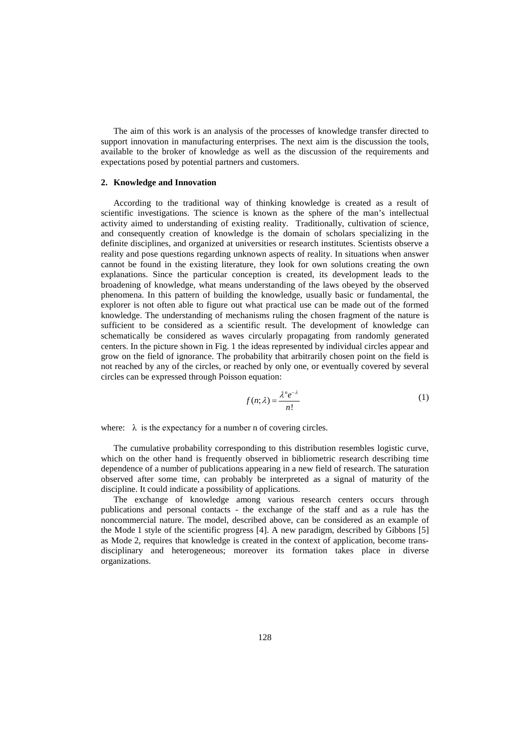The aim of this work is an analysis of the processes of knowledge transfer directed to support innovation in manufacturing enterprises. The next aim is the discussion the tools, available to the broker of knowledge as well as the discussion of the requirements and expectations posed by potential partners and customers.

#### **2. Knowledge and Innovation**

According to the traditional way of thinking knowledge is created as a result of scientific investigations. The science is known as the sphere of the man's intellectual activity aimed to understanding of existing reality. Traditionally, cultivation of science, and consequently creation of knowledge is the domain of scholars specializing in the definite disciplines, and organized at universities or research institutes. Scientists observe a reality and pose questions regarding unknown aspects of reality. In situations when answer cannot be found in the existing literature, they look for own solutions creating the own explanations. Since the particular conception is created, its development leads to the broadening of knowledge, what means understanding of the laws obeyed by the observed phenomena. In this pattern of building the knowledge, usually basic or fundamental, the explorer is not often able to figure out what practical use can be made out of the formed knowledge. The understanding of mechanisms ruling the chosen fragment of the nature is sufficient to be considered as a scientific result. The development of knowledge can schematically be considered as waves circularly propagating from randomly generated centers. In the picture shown in Fig. 1 the ideas represented by individual circles appear and grow on the field of ignorance. The probability that arbitrarily chosen point on the field is not reached by any of the circles, or reached by only one, or eventually covered by several circles can be expressed through Poisson equation:

$$
f(n; \lambda) = \frac{\lambda^n e^{-\lambda}}{n!}
$$
 (1)

where:  $\lambda$  is the expectancy for a number n of covering circles.

The cumulative probability corresponding to this distribution resembles logistic curve, which on the other hand is frequently observed in bibliometric research describing time dependence of a number of publications appearing in a new field of research. The saturation observed after some time, can probably be interpreted as a signal of maturity of the discipline. It could indicate a possibility of applications.

The exchange of knowledge among various research centers occurs through publications and personal contacts - the exchange of the staff and as a rule has the noncommercial nature. The model, described above, can be considered as an example of the Mode 1 style of the scientific progress [4]. A new paradigm, described by Gibbons [5] as Mode 2, requires that knowledge is created in the context of application, become transdisciplinary and heterogeneous; moreover its formation takes place in diverse organizations.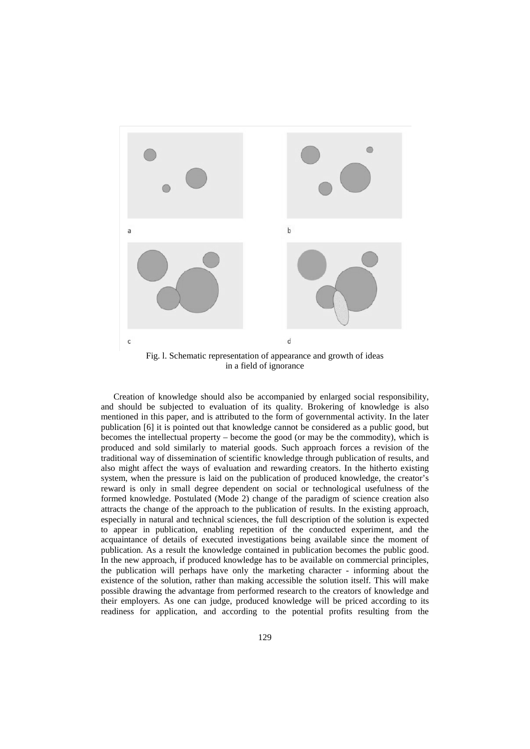

Creation of knowledge should also be accompanied by enlarged social responsibility, and should be subjected to evaluation of its quality. Brokering of knowledge is also mentioned in this paper, and is attributed to the form of governmental activity. In the later publication [6] it is pointed out that knowledge cannot be considered as a public good, but becomes the intellectual property – become the good (or may be the commodity), which is produced and sold similarly to material goods. Such approach forces a revision of the traditional way of dissemination of scientific knowledge through publication of results, and also might affect the ways of evaluation and rewarding creators. In the hitherto existing system, when the pressure is laid on the publication of produced knowledge, the creator's reward is only in small degree dependent on social or technological usefulness of the formed knowledge. Postulated (Mode 2) change of the paradigm of science creation also attracts the change of the approach to the publication of results. In the existing approach, especially in natural and technical sciences, the full description of the solution is expected to appear in publication, enabling repetition of the conducted experiment, and the acquaintance of details of executed investigations being available since the moment of publication. As a result the knowledge contained in publication becomes the public good. In the new approach, if produced knowledge has to be available on commercial principles, the publication will perhaps have only the marketing character - informing about the existence of the solution, rather than making accessible the solution itself. This will make possible drawing the advantage from performed research to the creators of knowledge and their employers. As one can judge, produced knowledge will be priced according to its readiness for application, and according to the potential profits resulting from the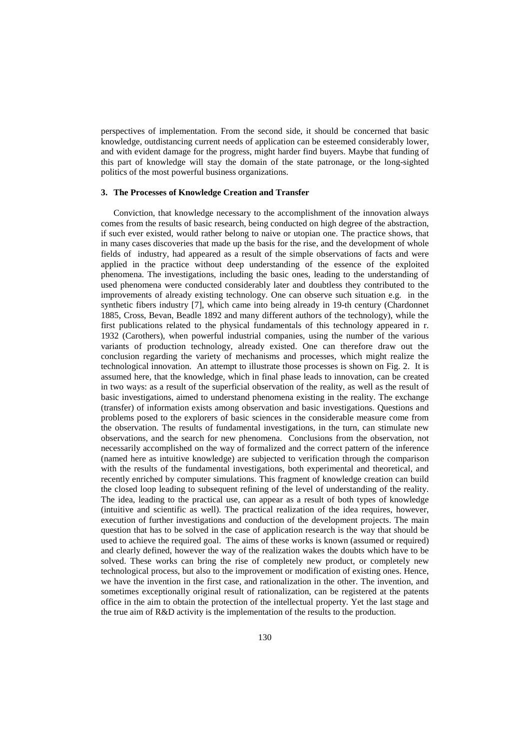perspectives of implementation. From the second side, it should be concerned that basic knowledge, outdistancing current needs of application can be esteemed considerably lower, and with evident damage for the progress, might harder find buyers. Maybe that funding of this part of knowledge will stay the domain of the state patronage, or the long-sighted politics of the most powerful business organizations.

#### **3. The Processes of Knowledge Creation and Transfer**

Conviction, that knowledge necessary to the accomplishment of the innovation always comes from the results of basic research, being conducted on high degree of the abstraction, if such ever existed, would rather belong to naive or utopian one. The practice shows, that in many cases discoveries that made up the basis for the rise, and the development of whole fields of industry, had appeared as a result of the simple observations of facts and were applied in the practice without deep understanding of the essence of the exploited phenomena. The investigations, including the basic ones, leading to the understanding of used phenomena were conducted considerably later and doubtless they contributed to the improvements of already existing technology. One can observe such situation e.g. in the synthetic fibers industry [7], which came into being already in 19-th century (Chardonnet 1885, Cross, Bevan, Beadle 1892 and many different authors of the technology), while the first publications related to the physical fundamentals of this technology appeared in r. 1932 (Carothers), when powerful industrial companies, using the number of the various variants of production technology, already existed. One can therefore draw out the conclusion regarding the variety of mechanisms and processes, which might realize the technological innovation. An attempt to illustrate those processes is shown on Fig. 2. It is assumed here, that the knowledge, which in final phase leads to innovation, can be created in two ways: as a result of the superficial observation of the reality, as well as the result of basic investigations, aimed to understand phenomena existing in the reality. The exchange (transfer) of information exists among observation and basic investigations. Questions and problems posed to the explorers of basic sciences in the considerable measure come from the observation. The results of fundamental investigations, in the turn, can stimulate new observations, and the search for new phenomena. Conclusions from the observation, not necessarily accomplished on the way of formalized and the correct pattern of the inference (named here as intuitive knowledge) are subjected to verification through the comparison with the results of the fundamental investigations, both experimental and theoretical, and recently enriched by computer simulations. This fragment of knowledge creation can build the closed loop leading to subsequent refining of the level of understanding of the reality. The idea, leading to the practical use, can appear as a result of both types of knowledge (intuitive and scientific as well). The practical realization of the idea requires, however, execution of further investigations and conduction of the development projects. The main question that has to be solved in the case of application research is the way that should be used to achieve the required goal. The aims of these works is known (assumed or required) and clearly defined, however the way of the realization wakes the doubts which have to be solved. These works can bring the rise of completely new product, or completely new technological process, but also to the improvement or modification of existing ones. Hence, we have the invention in the first case, and rationalization in the other. The invention, and sometimes exceptionally original result of rationalization, can be registered at the patents office in the aim to obtain the protection of the intellectual property. Yet the last stage and the true aim of R&D activity is the implementation of the results to the production.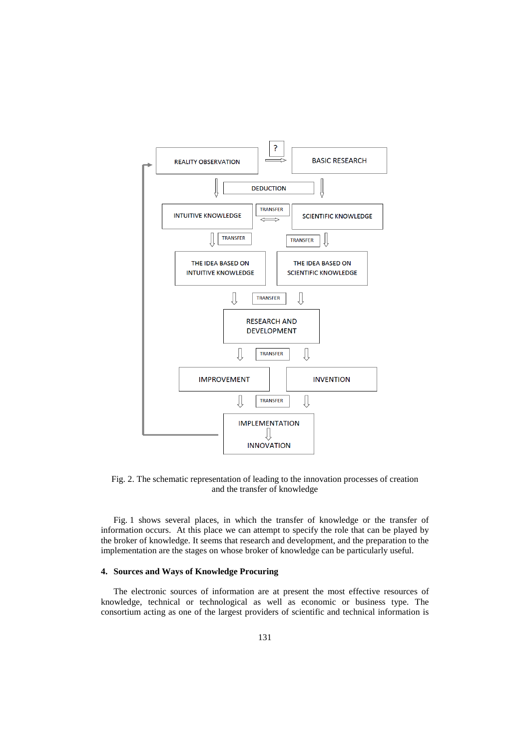

Fig. 2. The schematic representation of leading to the innovation processes of creation and the transfer of knowledge

Fig. 1 shows several places, in which the transfer of knowledge or the transfer of information occurs. At this place we can attempt to specify the role that can be played by the broker of knowledge. It seems that research and development, and the preparation to the implementation are the stages on whose broker of knowledge can be particularly useful.

#### **4. Sources and Ways of Knowledge Procuring**

The electronic sources of information are at present the most effective resources of knowledge, technical or technological as well as economic or business type. The consortium acting as one of the largest providers of scientific and technical information is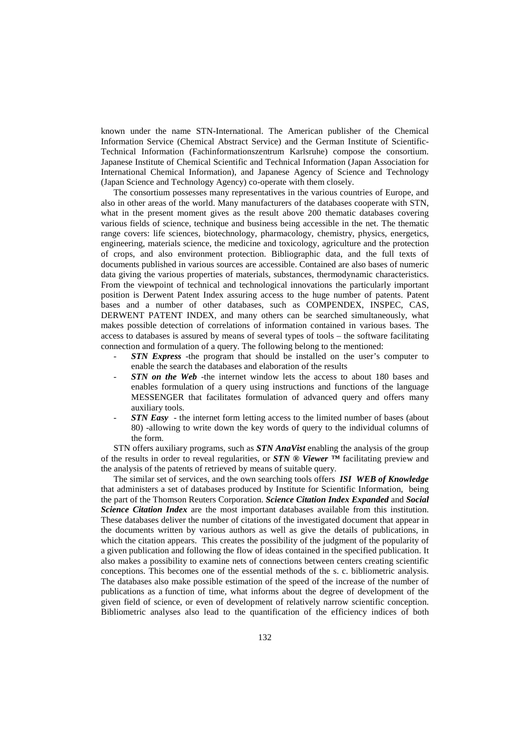known under the name STN-International. The American publisher of the Chemical Information Service (Chemical Abstract Service) and the German Institute of Scientific-Technical Information (Fachinformationszentrum Karlsruhe) compose the consortium. Japanese Institute of Chemical Scientific and Technical Information (Japan Association for International Chemical Information), and Japanese Agency of Science and Technology (Japan Science and Technology Agency) co-operate with them closely.

The consortium possesses many representatives in the various countries of Europe, and also in other areas of the world. Many manufacturers of the databases cooperate with STN, what in the present moment gives as the result above 200 thematic databases covering various fields of science, technique and business being accessible in the net. The thematic range covers: life sciences, biotechnology, pharmacology, chemistry, physics, energetics, engineering, materials science, the medicine and toxicology, agriculture and the protection of crops, and also environment protection. Bibliographic data, and the full texts of documents published in various sources are accessible. Contained are also bases of numeric data giving the various properties of materials, substances, thermodynamic characteristics. From the viewpoint of technical and technological innovations the particularly important position is Derwent Patent Index assuring access to the huge number of patents. Patent bases and a number of other databases, such as COMPENDEX, INSPEC, CAS, DERWENT PATENT INDEX, and many others can be searched simultaneously, what makes possible detection of correlations of information contained in various bases. The access to databases is assured by means of several types of tools – the software facilitating connection and formulation of a query. The following belong to the mentioned:

- **STN Express** -the program that should be installed on the user's computer to enable the search the databases and elaboration of the results
- *STN on the Web* -the internet window lets the access to about 180 bases and enables formulation of a query using instructions and functions of the language MESSENGER that facilitates formulation of advanced query and offers many auxiliary tools.
- **STN Easy** the internet form letting access to the limited number of bases (about 80) -allowing to write down the key words of query to the individual columns of the form.

STN offers auxiliary programs, such as *STN AnaVist* enabling the analysis of the group of the results in order to reveal regularities, or *STN ® Viewer ™* facilitating preview and the analysis of the patents of retrieved by means of suitable query.

The similar set of services, and the own searching tools offers *ISI WEB of Knowledge* that administers a set of databases produced by Institute for Scientific Information, being the part of the Thomson Reuters Corporation. *Science Citation Index Expanded* and *Social Science Citation Index* are the most important databases available from this institution. These databases deliver the number of citations of the investigated document that appear in the documents written by various authors as well as give the details of publications, in which the citation appears. This creates the possibility of the judgment of the popularity of a given publication and following the flow of ideas contained in the specified publication. It also makes a possibility to examine nets of connections between centers creating scientific conceptions. This becomes one of the essential methods of the s. c. bibliometric analysis. The databases also make possible estimation of the speed of the increase of the number of publications as a function of time, what informs about the degree of development of the given field of science, or even of development of relatively narrow scientific conception. Bibliometric analyses also lead to the quantification of the efficiency indices of both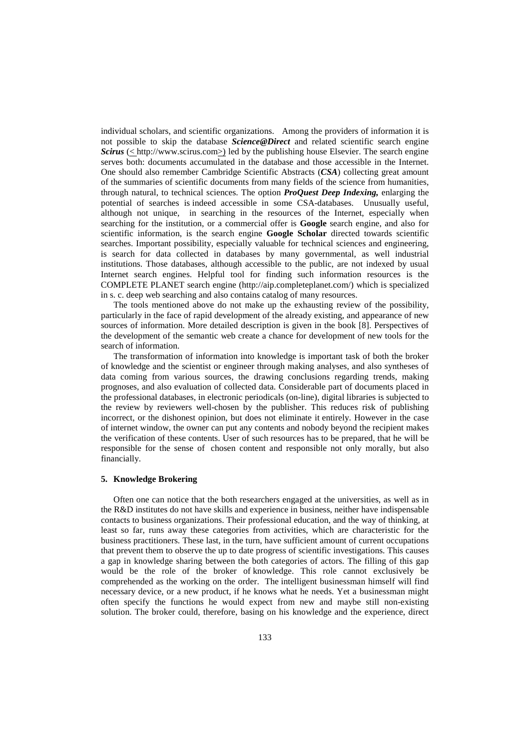individual scholars, and scientific organizations. Among the providers of information it is not possible to skip the database *Science@Direct* and related scientific search engine *Scirus* (< http://www.scirus.com>) led by the publishing house Elsevier. The search engine serves both: documents accumulated in the database and those accessible in the Internet. One should also remember Cambridge Scientific Abstracts (*CSA*) collecting great amount of the summaries of scientific documents from many fields of the science from humanities, through natural, to technical sciences. The option *ProQuest Deep Indexing,* enlarging the potential of searches is indeed accessible in some CSA-databases. Unusually useful, although not unique, in searching in the resources of the Internet, especially when searching for the institution, or a commercial offer is **Google** search engine, and also for scientific information, is the search engine **Google Scholar** directed towards scientific searches. Important possibility, especially valuable for technical sciences and engineering, is search for data collected in databases by many governmental, as well industrial institutions. Those databases, although accessible to the public, are not indexed by usual Internet search engines. Helpful tool for finding such information resources is the COMPLETE PLANET search engine (http://aip.completeplanet.com/) which is specialized in s. c. deep web searching and also contains catalog of many resources.

The tools mentioned above do not make up the exhausting review of the possibility, particularly in the face of rapid development of the already existing, and appearance of new sources of information. More detailed description is given in the book [8]. Perspectives of the development of the semantic web create a chance for development of new tools for the search of information.

The transformation of information into knowledge is important task of both the broker of knowledge and the scientist or engineer through making analyses, and also syntheses of data coming from various sources, the drawing conclusions regarding trends, making prognoses, and also evaluation of collected data. Considerable part of documents placed in the professional databases, in electronic periodicals (on-line), digital libraries is subjected to the review by reviewers well-chosen by the publisher. This reduces risk of publishing incorrect, or the dishonest opinion, but does not eliminate it entirely. However in the case of internet window, the owner can put any contents and nobody beyond the recipient makes the verification of these contents. User of such resources has to be prepared, that he will be responsible for the sense of chosen content and responsible not only morally, but also financially.

#### **5. Knowledge Brokering**

Often one can notice that the both researchers engaged at the universities, as well as in the R&D institutes do not have skills and experience in business, neither have indispensable contacts to business organizations. Their professional education, and the way of thinking, at least so far, runs away these categories from activities, which are characteristic for the business practitioners. These last, in the turn, have sufficient amount of current occupations that prevent them to observe the up to date progress of scientific investigations. This causes a gap in knowledge sharing between the both categories of actors. The filling of this gap would be the role of the broker of knowledge. This role cannot exclusively be comprehended as the working on the order. The intelligent businessman himself will find necessary device, or a new product, if he knows what he needs. Yet a businessman might often specify the functions he would expect from new and maybe still non-existing solution. The broker could, therefore, basing on his knowledge and the experience, direct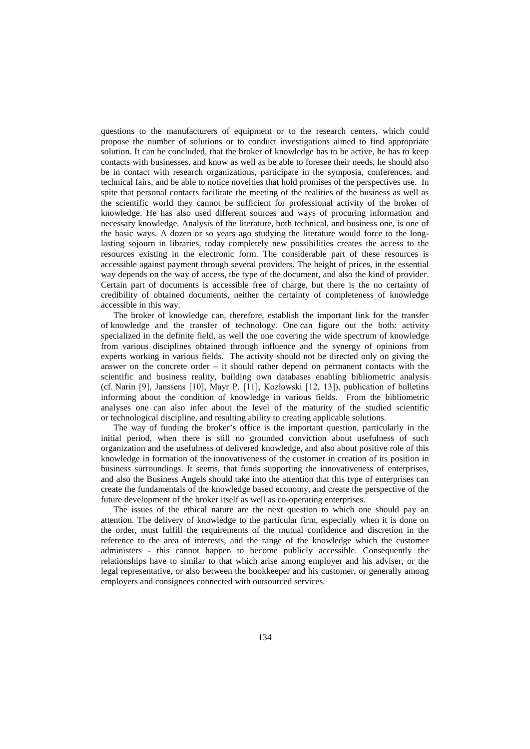questions to the manufacturers of equipment or to the research centers, which could propose the number of solutions or to conduct investigations aimed to find appropriate solution. It can be concluded, that the broker of knowledge has to be active, he has to keep contacts with businesses, and know as well as be able to foresee their needs, he should also be in contact with research organizations, participate in the symposia, conferences, and technical fairs, and be able to notice novelties that hold promises of the perspectives use. In spite that personal contacts facilitate the meeting of the realities of the business as well as the scientific world they cannot be sufficient for professional activity of the broker of knowledge. He has also used different sources and ways of procuring information and necessary knowledge. Analysis of the literature, both technical, and business one, is one of the basic ways. A dozen or so years ago studying the literature would force to the longlasting sojourn in libraries, today completely new possibilities creates the access to the resources existing in the electronic form. The considerable part of these resources is accessible against payment through several providers. The height of prices, in the essential way depends on the way of access, the type of the document, and also the kind of provider. Certain part of documents is accessible free of charge, but there is the no certainty of credibility of obtained documents, neither the certainty of completeness of knowledge accessible in this way.

The broker of knowledge can, therefore, establish the important link for the transfer of knowledge and the transfer of technology. One can figure out the both: activity specialized in the definite field, as well the one covering the wide spectrum of knowledge from various disciplines obtained through influence and the synergy of opinions from experts working in various fields. The activity should not be directed only on giving the answer on the concrete order – it should rather depend on permanent contacts with the scientific and business reality, building own databases enabling bibliometric analysis (cf. Narin [9], Janssens [10], Mayr P. [11], Kozłowski [12, 13]), publication of bulletins informing about the condition of knowledge in various fields. From the bibliometric analyses one can also infer about the level of the maturity of the studied scientific or technological discipline, and resulting ability to creating applicable solutions.

The way of funding the broker's office is the important question, particularly in the initial period, when there is still no grounded conviction about usefulness of such organization and the usefulness of delivered knowledge, and also about positive role of this knowledge in formation of the innovativeness of the customer in creation of its position in business surroundings. It seems, that funds supporting the innovativeness of enterprises, and also the Business Angels should take into the attention that this type of enterprises can create the fundamentals of the knowledge based economy, and create the perspective of the future development of the broker itself as well as co-operating enterprises.

The issues of the ethical nature are the next question to which one should pay an attention. The delivery of knowledge to the particular firm, especially when it is done on the order, must fulfill the requirements of the mutual confidence and discretion in the reference to the area of interests, and the range of the knowledge which the customer administers - this cannot happen to become publicly accessible. Consequently the relationships have to similar to that which arise among employer and his adviser, or the legal representative, or also between the bookkeeper and his customer, or generally among employers and consignees connected with outsourced services.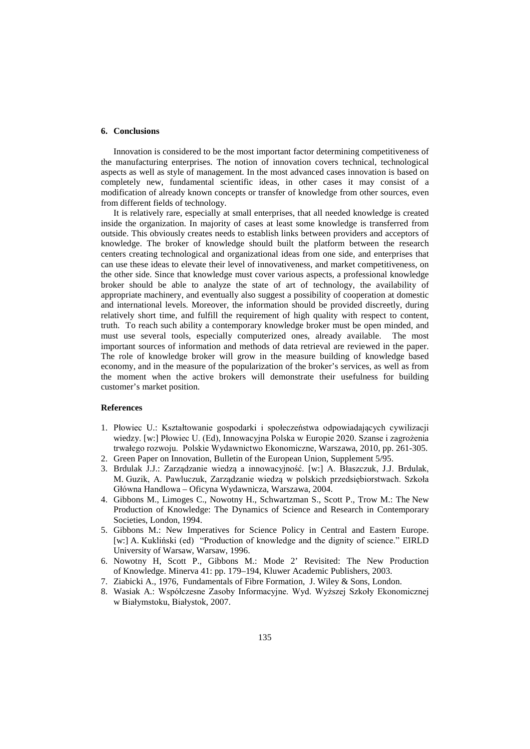### **6. Conclusions**

Innovation is considered to be the most important factor determining competitiveness of the manufacturing enterprises. The notion of innovation covers technical, technological aspects as well as style of management. In the most advanced cases innovation is based on completely new, fundamental scientific ideas, in other cases it may consist of a modification of already known concepts or transfer of knowledge from other sources, even from different fields of technology.

It is relatively rare, especially at small enterprises, that all needed knowledge is created inside the organization. In majority of cases at least some knowledge is transferred from outside. This obviously creates needs to establish links between providers and acceptors of knowledge. The broker of knowledge should built the platform between the research centers creating technological and organizational ideas from one side, and enterprises that can use these ideas to elevate their level of innovativeness, and market competitiveness, on the other side. Since that knowledge must cover various aspects, a professional knowledge broker should be able to analyze the state of art of technology, the availability of appropriate machinery, and eventually also suggest a possibility of cooperation at domestic and international levels. Moreover, the information should be provided discreetly, during relatively short time, and fulfill the requirement of high quality with respect to content, truth. To reach such ability a contemporary knowledge broker must be open minded, and must use several tools, especially computerized ones, already available. The most important sources of information and methods of data retrieval are reviewed in the paper. The role of knowledge broker will grow in the measure building of knowledge based economy, and in the measure of the popularization of the broker's services, as well as from the moment when the active brokers will demonstrate their usefulness for building customer's market position.

## **References**

- 1. Płowiec U.: Kształtowanie gospodarki i społeczeństwa odpowiadających cywilizacji wiedzy. [w:] Płowiec U. (Ed), Innowacyjna Polska w Europie 2020. Szanse i zagrożenia trwałego rozwoju. Polskie Wydawnictwo Ekonomiczne, Warszawa, 2010, pp. 261-305.
- 2. Green Paper on Innovation, Bulletin of the European Union, Supplement 5/95.
- 3. Brdulak J.J.: Zarządzanie wiedzą a innowacyjność. [w:] A. Błaszczuk, J.J. Brdulak, M. Guzik, A. Pawluczuk, Zarządzanie wiedzą w polskich przedsiębiorstwach. Szkoła Główna Handlowa – Oficyna Wydawnicza, Warszawa, 2004.
- 4. Gibbons M., Limoges C., Nowotny H., Schwartzman S., Scott P., Trow M.: The New Production of Knowledge: The Dynamics of Science and Research in Contemporary Societies, London, 1994.
- 5. Gibbons M.: New Imperatives for Science Policy in Central and Eastern Europe. [w:] A. Kukliński (ed) "Production of knowledge and the dignity of science." EIRLD University of Warsaw, Warsaw, 1996.
- 6. Nowotny H, Scott P., Gibbons M.: Mode 2' Revisited: The New Production of Knowledge. Minerva 41: pp. 179–194, Kluwer Academic Publishers, 2003.
- 7. Ziabicki A., 1976, Fundamentals of Fibre Formation, J. Wiley & Sons, London.
- 8. Wasiak A.: Współczesne Zasoby Informacyjne. Wyd. Wyższej Szkoły Ekonomicznej w Białymstoku, Białystok, 2007.